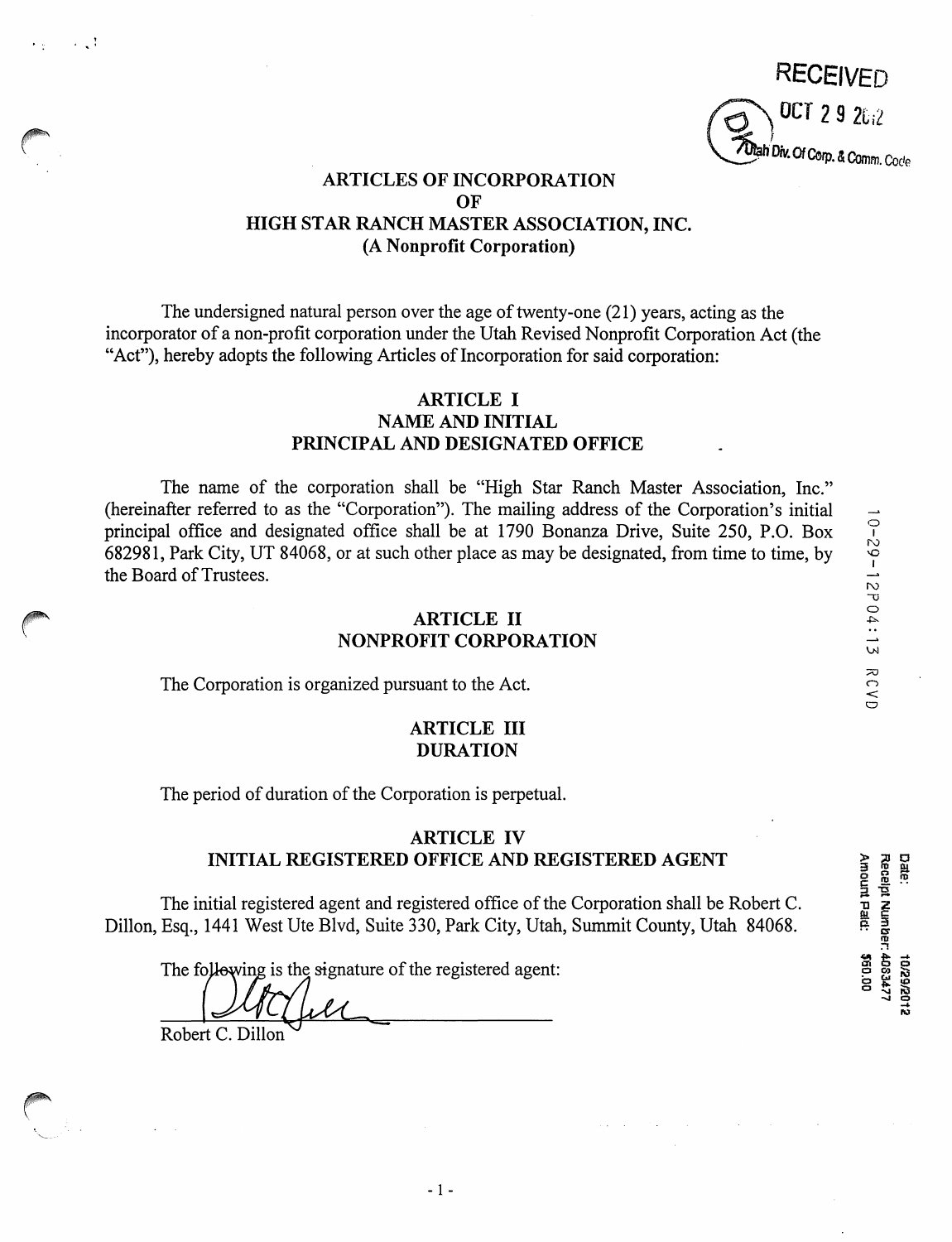**RECEIVED** OCT 2 9  $2612$ *TOtah Div. Of Corp. & Comm. Code* 

# **ARTICLES OF INCORPORATION OF HIGH STAR RANCH MASTER ASSOCIATION, INC. (A Nonprofit Corporation)**

The undersigned natural person over the age of twenty-one (21) years, acting as the incorporator of a non-profit corporation under the Utah Revised Nonprofit Corporation Act (the "Act"), hereby adopts the following Articles of Incorporation for said corporation:

# **ARTICLE** I **NAME AND INITIAL PRINCIPAL AND DESIGNATED OFFICE**

The name of the corporation shall be "High Star Ranch Master Association, Inc." (hereinafter referred to as the "Corporation"). The mailing address of the Corporation's initial principal office and designated office shall be at 1790 Bonanza Drive, Suite 250, P.O. Box 682981, Park City, UT 84068, or at such other place as may be designated, from time to time, by the Board of Trustees.

#### **ARTICLE** II **NONPROFIT CORPORATION**

The Corporation is organized pursuant to the Act.

 $\bigcap$ 

 $\sim$  . :

'·--.

#### **ARTICLE** III **DURATION**

The period of duration of the Corporation is perpetual.

# **ARTICLE IV INITIAL REGISTERED OFFICE AND REGISTERED AGENT**

The initial registered agent and registered office of the Corporation shall be Robert C. Dillon, Esq., 1441 West Ute Blvd, Suite 330, Park City, Utah, Summit County, Utah 84068.

The following is the signature of the registered agent:

Robert C. Dillon

0 I rv  $\overline{C}$ 2 P 0 4

**Date:** Amount Pald: Receipt Number: 4083477 00'09\$ 2102/62/0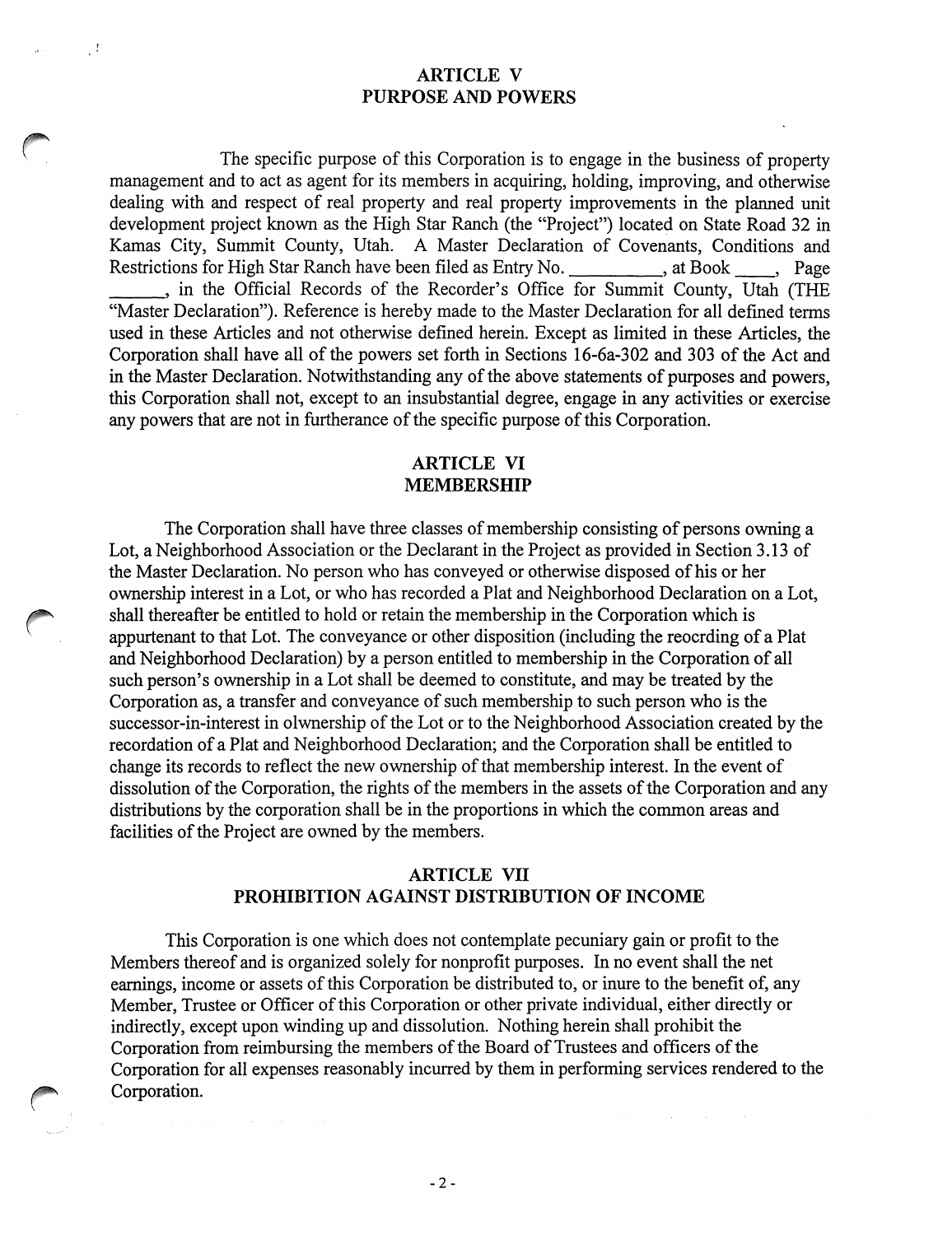# **ARTICLE V PURPOSE AND POWERS**

 $\sim$  1

The specific purpose of this Corporation is to engage in the business of property management and to act as agent for its members in acquiring, holding, improving, and otherwise dealing with and respect of real property and real property improvements in the planned unit development project known as the High Star Ranch (the "Project") located on State Road 32 in Kamas City, Summit County, Utah. A Master Declaration of Covenants, Conditions and Restrictions for High Star Ranch have been filed as Entry No. , at Book , Page , in the Official Records of the Recorder's Office for Summit County, Utah (THE "Master Declaration"). Reference is hereby made to the Master Declaration for all defined terms used in these Articles and not otherwise defined herein. Except as limited in these Articles, the Corporation shall have all of the powers set forth in Sections 16-6a-302 and 303 of the Act and in the Master Declaration. Notwithstanding any of the above statements of purposes and powers, this Corporation shall not, except to an insubstantial degree, engage in any activities or exercise any powers that are not in furtherance of the specific purpose of this Corporation.

# **ARTICLE VI MEMBERSHIP**

The Corporation shall have three classes of membership consisting of persons owning a Lot, a Neighborhood Association or the Declarant in the Project as provided in Section 3.13 of the Master Declaration. No person who has conveyed or otherwise disposed of his or her ownership interest in a Lot, or who has recorded a Plat and Neighborhood Declaration on a Lot, shall thereafter be entitled to hold or retain the membership in the Corporation which is appurtenant to that Lot. The conveyance or other disposition (including the reocrding of a Plat and Neighborhood Declaration) by a person entitled to membership in the Corporation of all such person's ownership in a Lot shall be deemed to constitute, and may be treated by the Corporation as, a transfer and conveyance of such membership to such person who is the successor-in-interest in olwnership of the Lot or to the Neighborhood Association created by the recordation of a Plat and Neighborhood Declaration; and the Corporation shall be entitled to change its records to reflect the new ownership of that membership interest. In the event of dissolution of the Corporation, the rights of the members in the assets of the Corporation and any distributions by the corporation shall be in the proportions in which the common areas and facilities of the Project are owned by the members.

# **ARTICLE VII PROHIBITION AGAINST DISTRIBUTION OF INCOME**

This Corporation is one which does not contemplate pecuniary gain or profit to the Members thereof and is organized solely for nonprofit purposes. In no event shall the net earnings, income or assets of this Corporation be distributed to, or inure to the benefit of, any Member, Trustee or Officer of this Corporation or other private individual, either directly or indirectly, except upon winding up and dissolution. Nothing herein shall prohibit the Corporation from reimbursing the members of the Board of Trustees and officers of the Corporation for all expenses reasonably incurred by them in performing services rendered to the Corporation.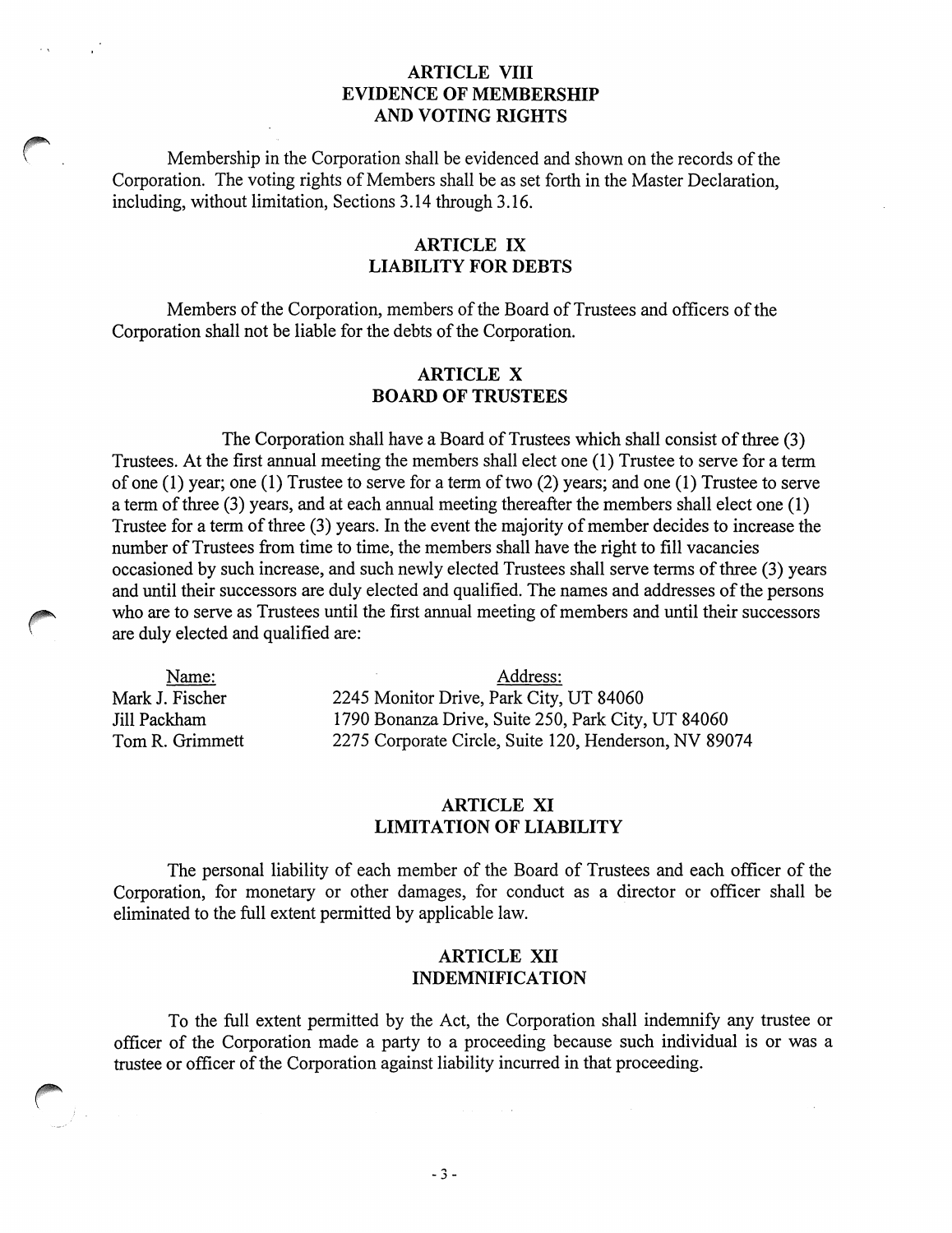#### **ARTICLE VIII EVIDENCE OF MEMBERSHIP AND VOTING RIGHTS**

Membership in the Corporation shall be evidenced and shown on the records of the Corporation. The voting rights of Members shall be as set forth in the Master Declaration, including, without limitation, Sections 3.14 through 3.16.

# **ARTICLE IX LIABILITY FOR DEBTS**

Members of the Corporation, members of the Board of Trustees and officers of the Corporation shall not be liable for the debts of the Corporation.

#### **ARTICLE X BOARD OF TRUSTEES**

The Corporation shall have a Board of Trustees which shall consist of three (3) Trustees. At the first annual meeting the members shall elect one (1) Trustee to serve for a term of one (1) year; one (1) Trustee to serve for a term of two (2) years; and one (1) Trustee to serve a term of three (3) years, and at each annual meeting thereafter the members shall elect one (1) Trustee for a term of three (3) years. In the event the majority of member decides to increase the number of Trustees from time to time, the members shall have the right to fill vacancies occasioned by such increase, and such newly elected Trustees shall serve terms of three (3) years and until their successors are duly elected and qualified. The names and addresses of the persons who are to serve as Trustees until the first annual meeting of members and until their successors are duly elected and qualified are:

Name: Mark J. Fischer Jill Packham Tom R. Grimmett

Address: 2245 Monitor Drive, Park City, UT 84060 1790 Bonanza Drive, Suite 250, Park City, UT 84060 2275 Corporate Circle, Suite 120, Henderson, NV 89074

# **ARTICLE XI LIMITATION OF LIABILITY**

The personal liability of each member of the Board of Trustees and each officer of the Corporation, for monetary or other damages, for conduct as a director or officer shall be eliminated to the full extent permitted by applicable law.

#### **ARTICLE XII INDEMNIFICATION**

To the full extent permitted by the Act, the Corporation shall indemnify any trustee or officer of the Corporation made a party to a proceeding because such individual is or was a trustee or officer of the Corporation against liability incurred in that proceeding.

 $-3 -$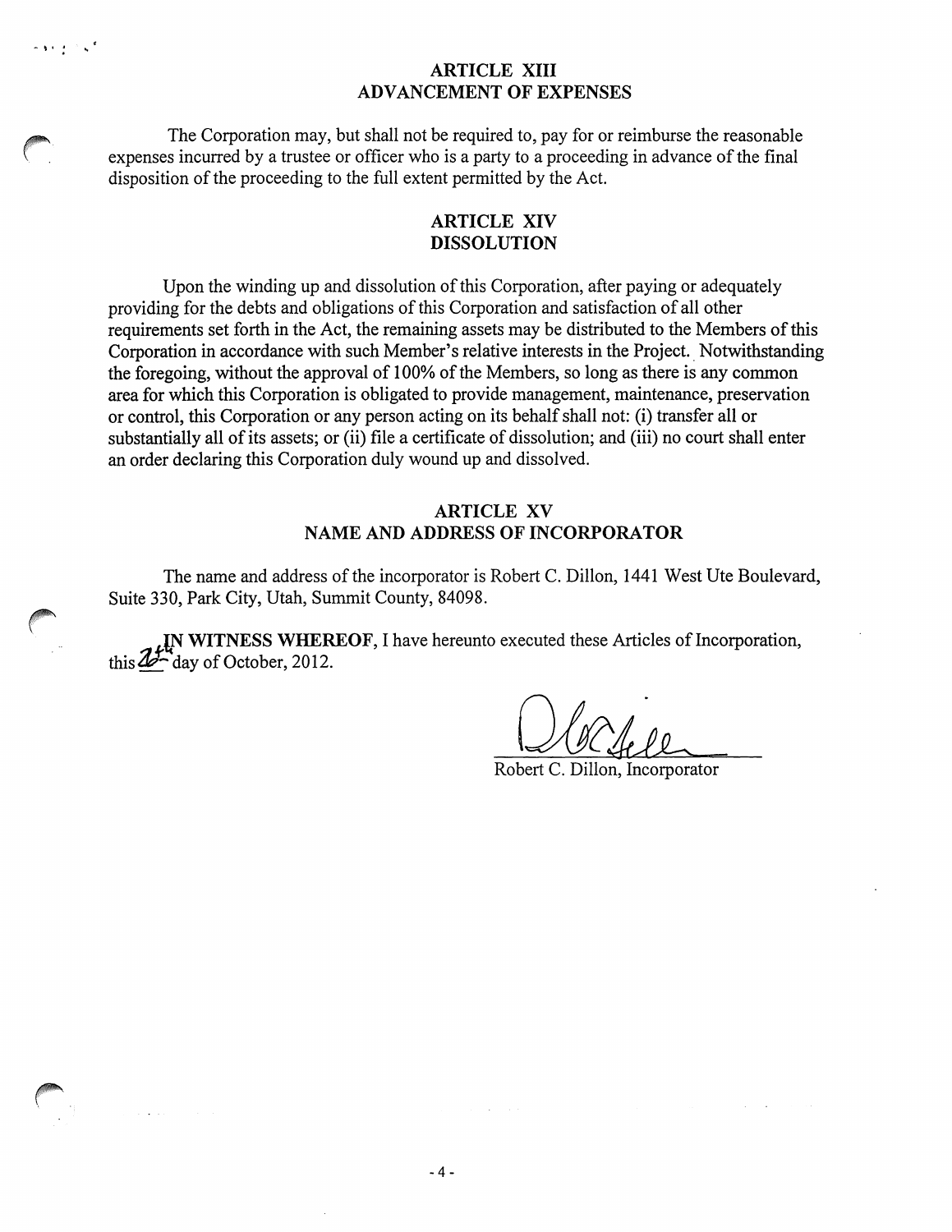# **ARTICLE XIII ADVANCEMENT OF EXPENSES**

The Corporation may, but shall not be required to, pay for or reimburse the reasonable expenses incurred by a trustee or officer who is a party to a proceeding in advance of the final disposition of the proceeding to the full extent permitted by the Act.

 $\mathbf{r}$  is  $\mathbf{r}$  in  $\mathbf{r}$ 

 $\bigcap$ 

#### **ARTICLE XIV DISSOLUTION**

Upon the winding up and dissolution of this Corporation, after paying or adequately providing for the debts and obligations of this Corporation and satisfaction of all other requirements set forth in the Act, the remaining assets may be distributed to the Members of this Corporation in accordance with such Member's relative interests in the Project.. Notwithstanding the foregoing, without the approval of 100% of the Members, so long as there is any common area for which this Corporation is obligated to provide management, maintenance, preservation or control, this Corporation or any person acting on its behalf shall not: (i) transfer all or substantially all of its assets; or (ii) file a certificate of dissolution; and (iii) no court shall enter an order declaring this Corporation duly wound up and dissolved.

#### **ARTICLE XV NAME AND ADDRESS OF INCORPORATOR**

The name and address of the incorporator is Robert C. Dillon, 1441 West Ute Boulevard, Suite 330, Park City, Utah, Summit County, 84098.

**IN WITNESS WHEREOF, I have hereunto executed these Articles of Incorporation,** this  $25 -$  day of October, 2012.

Robert C. Dillon, Incorporator